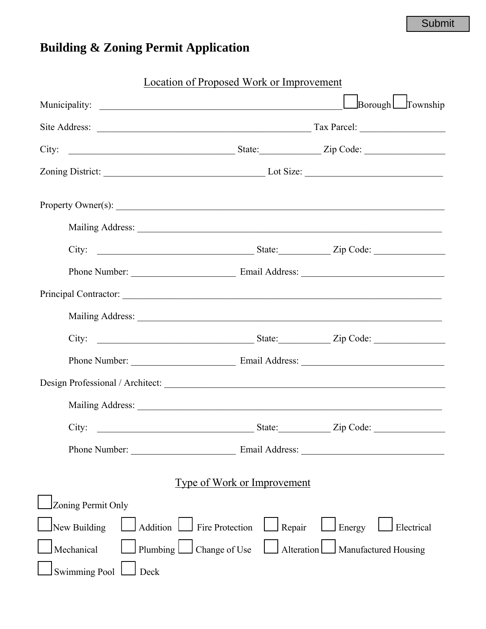## **Building & Zoning Permit Application**

|                                          | <b>Location of Proposed Work or Improvement</b> |                                   |
|------------------------------------------|-------------------------------------------------|-----------------------------------|
|                                          |                                                 | $\Box$ Borough $\Box$ Township    |
|                                          |                                                 |                                   |
|                                          |                                                 |                                   |
|                                          |                                                 |                                   |
| Property Owner(s):                       |                                                 |                                   |
|                                          |                                                 |                                   |
|                                          |                                                 |                                   |
|                                          |                                                 |                                   |
|                                          |                                                 |                                   |
|                                          |                                                 |                                   |
|                                          |                                                 |                                   |
|                                          |                                                 |                                   |
|                                          |                                                 |                                   |
|                                          |                                                 |                                   |
| City:                                    |                                                 | State: Zip Code:                  |
| Phone Number:                            |                                                 |                                   |
|                                          | <b>Type of Work or Improvement</b>              |                                   |
| Zoning Permit Only                       |                                                 |                                   |
| Addition Fire Protection<br>New Building | $\Box$ Repair                                   | Energy<br>Electrical              |
| Plumbing $\Box$<br>Mechanical            | Change of Use                                   | Alteration   Manufactured Housing |
| <b>Swimming Pool</b><br>Deck             |                                                 |                                   |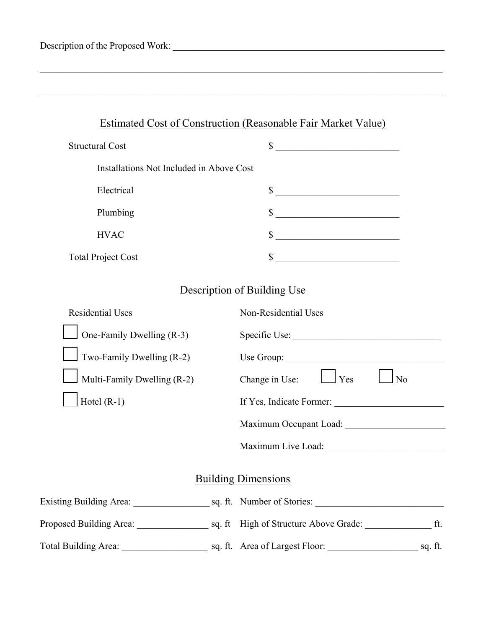| Description of the Proposed Work: |  |
|-----------------------------------|--|
|                                   |  |

 $\_$  , and the contribution of the contribution of the contribution of the contribution of  $\mathcal{L}_\text{max}$ 

 $\_$  , and the contribution of the contribution of the contribution of the contribution of  $\mathcal{L}_\text{max}$ 

| <b>Structural Cost</b>                   |    |
|------------------------------------------|----|
| Installations Not Included in Above Cost |    |
| Electrical                               | \$ |
| Plumbing                                 |    |
| <b>HVAC</b>                              |    |
| <b>Total Project Cost</b>                |    |

## Description of Building Use

| <b>Residential Uses</b>                            | Non-Residential Uses                                                  |
|----------------------------------------------------|-----------------------------------------------------------------------|
| One-Family Dwelling (R-3)                          | Specific Use:                                                         |
| Two-Family Dwelling $(R-2)$                        |                                                                       |
| Multi-Family Dwelling (R-2)                        | Change in Use: $\Box$ Yes<br>N <sub>0</sub>                           |
| Hotel $(R-1)$                                      | If Yes, Indicate Former:                                              |
|                                                    |                                                                       |
|                                                    |                                                                       |
|                                                    | <b>Building Dimensions</b>                                            |
| Existing Building Area: sq. ft. Number of Stories: |                                                                       |
|                                                    | Proposed Building Area: sq. ft High of Structure Above Grade: the ft. |
|                                                    |                                                                       |
|                                                    |                                                                       |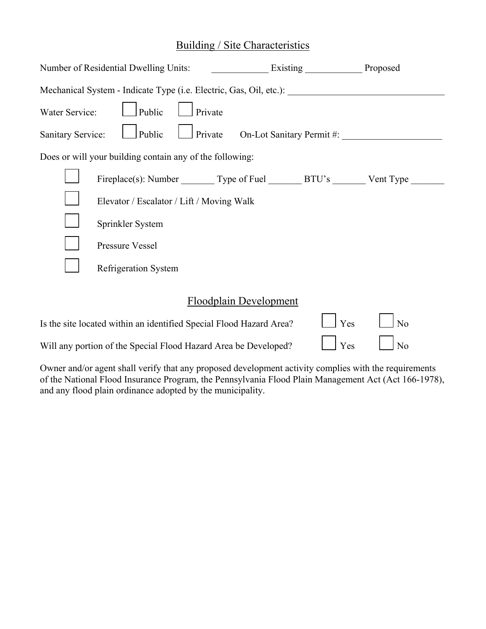### Building / Site Characteristics

|                  | Number of Residential Dwelling Units:                                   |         |  | Existing Proposed |  |
|------------------|-------------------------------------------------------------------------|---------|--|-------------------|--|
|                  | Mechanical System - Indicate Type (i.e. Electric, Gas, Oil, etc.):      |         |  |                   |  |
| Water Service:   | Public                                                                  | Private |  |                   |  |
|                  | Public<br>Private On-Lot Sanitary Permit #:<br><b>Sanitary Service:</b> |         |  |                   |  |
|                  | Does or will your building contain any of the following:                |         |  |                   |  |
|                  | Fireplace(s): Number Type of Fuel BTU's Vent Type                       |         |  |                   |  |
|                  | Elevator / Escalator / Lift / Moving Walk                               |         |  |                   |  |
| Sprinkler System |                                                                         |         |  |                   |  |
| Pressure Vessel  |                                                                         |         |  |                   |  |
|                  | <b>Refrigeration System</b>                                             |         |  |                   |  |
|                  |                                                                         |         |  |                   |  |

## Floodplain Development

| Is the site located within an identified Special Flood Hazard Area? | $Y$ es $\Box$ No |  |
|---------------------------------------------------------------------|------------------|--|
| Will any portion of the Special Flood Hazard Area be Developed?     |                  |  |

Owner and/or agent shall verify that any proposed development activity complies with the requirements of the National Flood Insurance Program, the Pennsylvania Flood Plain Management Act (Act 166-1978), and any flood plain ordinance adopted by the municipality.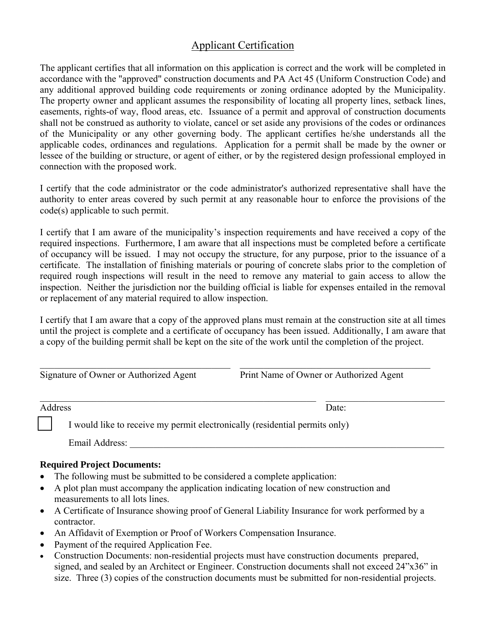#### Applicant Certification

The applicant certifies that all information on this application is correct and the work will be completed in accordance with the "approved" construction documents and PA Act 45 (Uniform Construction Code) and any additional approved building code requirements or zoning ordinance adopted by the Municipality. The property owner and applicant assumes the responsibility of locating all property lines, setback lines, easements, rights-of way, flood areas, etc. Issuance of a permit and approval of construction documents shall not be construed as authority to violate, cancel or set aside any provisions of the codes or ordinances of the Municipality or any other governing body. The applicant certifies he/she understands all the applicable codes, ordinances and regulations. Application for a permit shall be made by the owner or lessee of the building or structure, or agent of either, or by the registered design professional employed in connection with the proposed work.

I certify that the code administrator or the code administrator's authorized representative shall have the authority to enter areas covered by such permit at any reasonable hour to enforce the provisions of the code(s) applicable to such permit.

I certify that I am aware of the municipality's inspection requirements and have received a copy of the required inspections. Furthermore, I am aware that all inspections must be completed before a certificate of occupancy will be issued. I may not occupy the structure, for any purpose, prior to the issuance of a certificate. The installation of finishing materials or pouring of concrete slabs prior to the completion of required rough inspections will result in the need to remove any material to gain access to allow the inspection. Neither the jurisdiction nor the building official is liable for expenses entailed in the removal or replacement of any material required to allow inspection.

I certify that I am aware that a copy of the approved plans must remain at the construction site at all times until the project is complete and a certificate of occupancy has been issued. Additionally, I am aware that a copy of the building permit shall be kept on the site of the work until the completion of the project.

| Signature of Owner or Authorized Agent | Print Name of Owner or Authorized Agent |
|----------------------------------------|-----------------------------------------|

| Address                                                                     | Date: |
|-----------------------------------------------------------------------------|-------|
| I would like to receive my permit electronically (residential permits only) |       |

Email Address:

#### **Required Project Documents:**

- The following must be submitted to be considered a complete application:
- A plot plan must accompany the application indicating location of new construction and measurements to all lots lines.
- A Certificate of Insurance showing proof of General Liability Insurance for work performed by a contractor.
- An Affidavit of Exemption or Proof of Workers Compensation Insurance.
- Payment of the required Application Fee.
- Construction Documents: non-residential projects must have construction documents prepared, signed, and sealed by an Architect or Engineer. Construction documents shall not exceed 24"x36" in size. Three (3) copies of the construction documents must be submitted for non-residential projects.